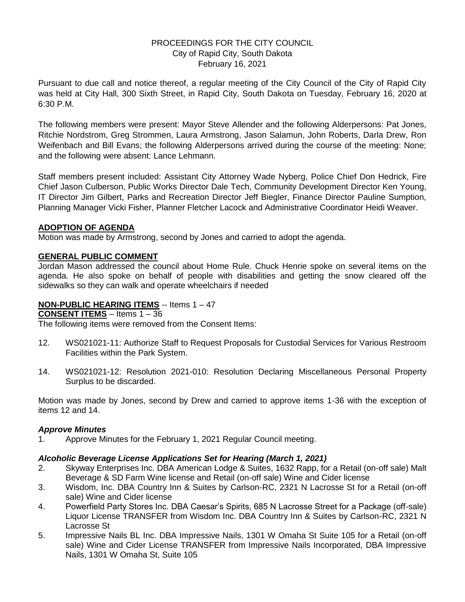# PROCEEDINGS FOR THE CITY COUNCIL City of Rapid City, South Dakota February 16, 2021

Pursuant to due call and notice thereof, a regular meeting of the City Council of the City of Rapid City was held at City Hall, 300 Sixth Street, in Rapid City, South Dakota on Tuesday, February 16, 2020 at 6:30 P.M.

The following members were present: Mayor Steve Allender and the following Alderpersons: Pat Jones, Ritchie Nordstrom, Greg Strommen, Laura Armstrong, Jason Salamun, John Roberts, Darla Drew, Ron Weifenbach and Bill Evans; the following Alderpersons arrived during the course of the meeting: None; and the following were absent: Lance Lehmann.

Staff members present included: Assistant City Attorney Wade Nyberg, Police Chief Don Hedrick, Fire Chief Jason Culberson, Public Works Director Dale Tech, Community Development Director Ken Young, IT Director Jim Gilbert, Parks and Recreation Director Jeff Biegler, Finance Director Pauline Sumption, Planning Manager Vicki Fisher, Planner Fletcher Lacock and Administrative Coordinator Heidi Weaver.

# **ADOPTION OF AGENDA**

Motion was made by Armstrong, second by Jones and carried to adopt the agenda.

# **GENERAL PUBLIC COMMENT**

Jordan Mason addressed the council about Home Rule. Chuck Henrie spoke on several items on the agenda. He also spoke on behalf of people with disabilities and getting the snow cleared off the sidewalks so they can walk and operate wheelchairs if needed

## **NON-PUBLIC HEARING ITEMS** -- Items 1 – 47

**CONSENT ITEMS** – Items 1 – 36

The following items were removed from the Consent Items:

- 12. WS021021-11: Authorize Staff to Request Proposals for Custodial Services for Various Restroom Facilities within the Park System.
- 14. WS021021-12: Resolution 2021-010: Resolution Declaring Miscellaneous Personal Property Surplus to be discarded.

Motion was made by Jones, second by Drew and carried to approve items 1-36 with the exception of items 12 and 14.

### *Approve Minutes*

1. Approve Minutes for the February 1, 2021 Regular Council meeting.

### *Alcoholic Beverage License Applications Set for Hearing (March 1, 2021)*

- 2. Skyway Enterprises Inc. DBA American Lodge & Suites, 1632 Rapp, for a Retail (on-off sale) Malt Beverage & SD Farm Wine license and Retail (on-off sale) Wine and Cider license
- 3. Wisdom, Inc. DBA Country Inn & Suites by Carlson-RC, 2321 N Lacrosse St for a Retail (on-off sale) Wine and Cider license
- 4. Powerfield Party Stores Inc. DBA Caesar's Spirits, 685 N Lacrosse Street for a Package (off-sale) Liquor License TRANSFER from Wisdom Inc. DBA Country Inn & Suites by Carlson-RC, 2321 N Lacrosse St
- 5. Impressive Nails BL Inc. DBA Impressive Nails, 1301 W Omaha St Suite 105 for a Retail (on-off sale) Wine and Cider License TRANSFER from Impressive Nails Incorporated, DBA Impressive Nails, 1301 W Omaha St, Suite 105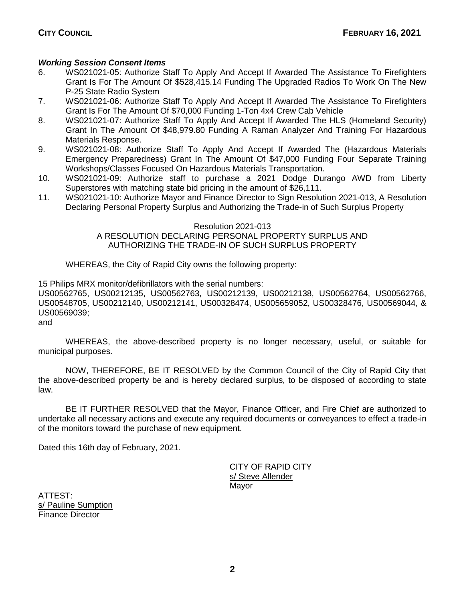# *Working Session Consent Items*

- 6. WS021021-05: Authorize Staff To Apply And Accept If Awarded The Assistance To Firefighters Grant Is For The Amount Of \$528,415.14 Funding The Upgraded Radios To Work On The New P-25 State Radio System
- 7. WS021021-06: Authorize Staff To Apply And Accept If Awarded The Assistance To Firefighters Grant Is For The Amount Of \$70,000 Funding 1-Ton 4x4 Crew Cab Vehicle
- 8. WS021021-07: Authorize Staff To Apply And Accept If Awarded The HLS (Homeland Security) Grant In The Amount Of \$48,979.80 Funding A Raman Analyzer And Training For Hazardous Materials Response.
- 9. WS021021-08: Authorize Staff To Apply And Accept If Awarded The (Hazardous Materials Emergency Preparedness) Grant In The Amount Of \$47,000 Funding Four Separate Training Workshops/Classes Focused On Hazardous Materials Transportation.
- 10. WS021021-09: Authorize staff to purchase a 2021 Dodge Durango AWD from Liberty Superstores with matching state bid pricing in the amount of \$26,111.
- 11. WS021021-10: Authorize Mayor and Finance Director to Sign Resolution 2021-013, A Resolution Declaring Personal Property Surplus and Authorizing the Trade-in of Such Surplus Property

### Resolution 2021-013

## A RESOLUTION DECLARING PERSONAL PROPERTY SURPLUS AND AUTHORIZING THE TRADE-IN OF SUCH SURPLUS PROPERTY

WHEREAS, the City of Rapid City owns the following property:

15 Philips MRX monitor/defibrillators with the serial numbers:

US00562765, US00212135, US00562763, US00212139, US00212138, US00562764, US00562766, US00548705, US00212140, US00212141, US00328474, US005659052, US00328476, US00569044, & US00569039;

and

WHEREAS, the above-described property is no longer necessary, useful, or suitable for municipal purposes.

NOW, THEREFORE, BE IT RESOLVED by the Common Council of the City of Rapid City that the above-described property be and is hereby declared surplus, to be disposed of according to state law.

BE IT FURTHER RESOLVED that the Mayor, Finance Officer, and Fire Chief are authorized to undertake all necessary actions and execute any required documents or conveyances to effect a trade-in of the monitors toward the purchase of new equipment.

Dated this 16th day of February, 2021.

CITY OF RAPID CITY s/ Steve Allender Mayor

ATTEST: s/ Pauline Sumption Finance Director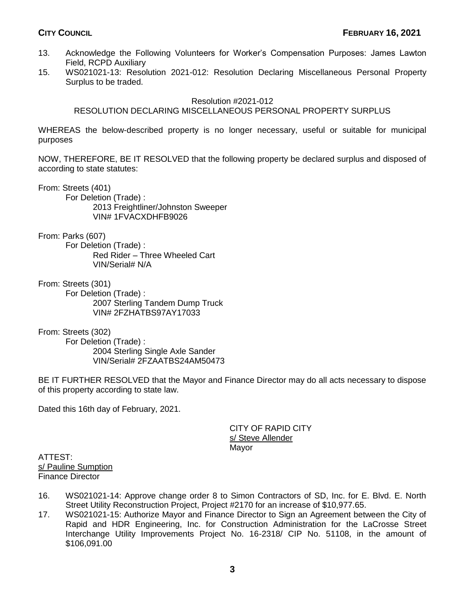- 13. Acknowledge the Following Volunteers for Worker's Compensation Purposes: James Lawton Field, RCPD Auxiliary
- 15. WS021021-13: Resolution 2021-012: Resolution Declaring Miscellaneous Personal Property Surplus to be traded.

### Resolution #2021-012

# RESOLUTION DECLARING MISCELLANEOUS PERSONAL PROPERTY SURPLUS

WHEREAS the below-described property is no longer necessary, useful or suitable for municipal purposes

NOW, THEREFORE, BE IT RESOLVED that the following property be declared surplus and disposed of according to state statutes:

From: Streets (401)

For Deletion (Trade) : 2013 Freightliner/Johnston Sweeper VIN# 1FVACXDHFB9026

From: Parks (607)

For Deletion (Trade) : Red Rider – Three Wheeled Cart VIN/Serial# N/A

From: Streets (301)

For Deletion (Trade) : 2007 Sterling Tandem Dump Truck VIN# 2FZHATBS97AY17033

From: Streets (302) For Deletion (Trade) : 2004 Sterling Single Axle Sander VIN/Serial# 2FZAATBS24AM50473

BE IT FURTHER RESOLVED that the Mayor and Finance Director may do all acts necessary to dispose of this property according to state law.

Dated this 16th day of February, 2021.

CITY OF RAPID CITY s/ Steve Allender Mayor

ATTEST: s/ Pauline Sumption Finance Director

- 16. WS021021-14: Approve change order 8 to Simon Contractors of SD, Inc. for E. Blvd. E. North Street Utility Reconstruction Project, Project #2170 for an increase of \$10,977.65.
- 17. WS021021-15: Authorize Mayor and Finance Director to Sign an Agreement between the City of Rapid and HDR Engineering, Inc. for Construction Administration for the LaCrosse Street Interchange Utility Improvements Project No. 16-2318/ CIP No. 51108, in the amount of \$106,091.00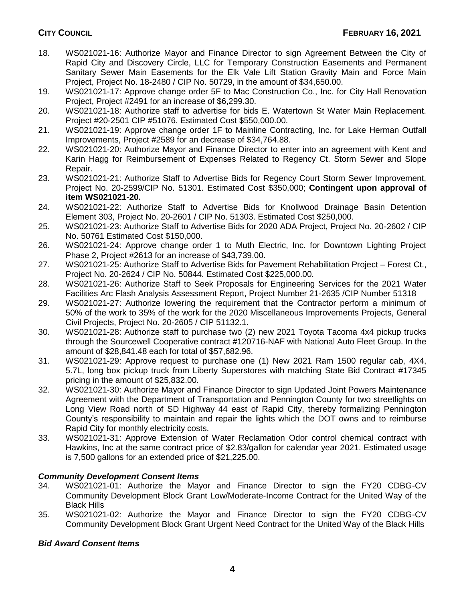- 18. WS021021-16: Authorize Mayor and Finance Director to sign Agreement Between the City of Rapid City and Discovery Circle, LLC for Temporary Construction Easements and Permanent Sanitary Sewer Main Easements for the Elk Vale Lift Station Gravity Main and Force Main Project, Project No. 18-2480 / CIP No. 50729, in the amount of \$34,650.00.
- 19. WS021021-17: Approve change order 5F to Mac Construction Co., Inc. for City Hall Renovation Project, Project #2491 for an increase of \$6,299.30.
- 20. WS021021-18: Authorize staff to advertise for bids E. Watertown St Water Main Replacement. Project #20-2501 CIP #51076. Estimated Cost \$550,000.00.
- 21. WS021021-19: Approve change order 1F to Mainline Contracting, Inc. for Lake Herman Outfall Improvements, Project #2589 for an decrease of \$34,764.88.
- 22. WS021021-20: Authorize Mayor and Finance Director to enter into an agreement with Kent and Karin Hagg for Reimbursement of Expenses Related to Regency Ct. Storm Sewer and Slope Repair.
- 23. WS021021-21: Authorize Staff to Advertise Bids for Regency Court Storm Sewer Improvement, Project No. 20-2599/CIP No. 51301. Estimated Cost \$350,000; **Contingent upon approval of item WS021021-20.**
- 24. WS021021-22: Authorize Staff to Advertise Bids for Knollwood Drainage Basin Detention Element 303, Project No. 20-2601 / CIP No. 51303. Estimated Cost \$250,000.
- 25. WS021021-23: Authorize Staff to Advertise Bids for 2020 ADA Project, Project No. 20-2602 / CIP No. 50761 Estimated Cost \$150,000.
- 26. WS021021-24: Approve change order 1 to Muth Electric, Inc. for Downtown Lighting Project Phase 2, Project #2613 for an increase of \$43,739.00.
- 27. WS021021-25: Authorize Staff to Advertise Bids for Pavement Rehabilitation Project Forest Ct., Project No. 20-2624 / CIP No. 50844. Estimated Cost \$225,000.00.
- 28. WS021021-26: Authorize Staff to Seek Proposals for Engineering Services for the 2021 Water Facilities Arc Flash Analysis Assessment Report, Project Number 21-2635 /CIP Number 51318
- 29. WS021021-27: Authorize lowering the requirement that the Contractor perform a minimum of 50% of the work to 35% of the work for the 2020 Miscellaneous Improvements Projects, General Civil Projects, Project No. 20-2605 / CIP 51132.1.
- 30. WS021021-28: Authorize staff to purchase two (2) new 2021 Toyota Tacoma 4x4 pickup trucks through the Sourcewell Cooperative contract #120716-NAF with National Auto Fleet Group. In the amount of \$28,841.48 each for total of \$57,682.96.
- 31. WS021021-29: Approve request to purchase one (1) New 2021 Ram 1500 regular cab, 4X4, 5.7L, long box pickup truck from Liberty Superstores with matching State Bid Contract #17345 pricing in the amount of \$25,832.00.
- 32. WS021021-30: Authorize Mayor and Finance Director to sign Updated Joint Powers Maintenance Agreement with the Department of Transportation and Pennington County for two streetlights on Long View Road north of SD Highway 44 east of Rapid City, thereby formalizing Pennington County's responsibility to maintain and repair the lights which the DOT owns and to reimburse Rapid City for monthly electricity costs.
- 33. WS021021-31: Approve Extension of Water Reclamation Odor control chemical contract with Hawkins, Inc at the same contract price of \$2.83/gallon for calendar year 2021. Estimated usage is 7,500 gallons for an extended price of \$21,225.00.

# *Community Development Consent Items*

- 34. WS021021-01: Authorize the Mayor and Finance Director to sign the FY20 CDBG-CV Community Development Block Grant Low/Moderate-Income Contract for the United Way of the Black Hills
- 35. WS021021-02: Authorize the Mayor and Finance Director to sign the FY20 CDBG-CV Community Development Block Grant Urgent Need Contract for the United Way of the Black Hills

# *Bid Award Consent Items*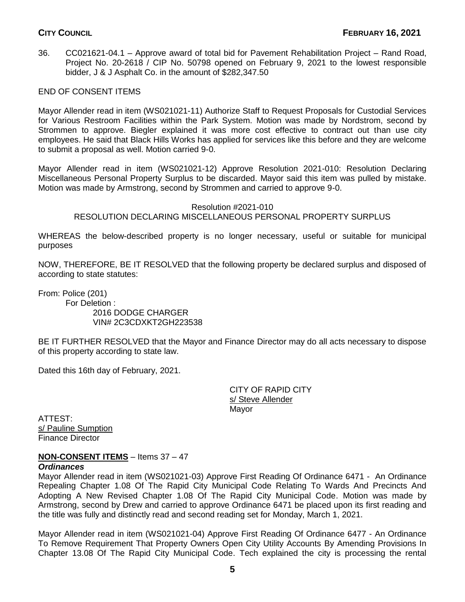36. CC021621-04.1 – Approve award of total bid for Pavement Rehabilitation Project – Rand Road, Project No. 20-2618 / CIP No. 50798 opened on February 9, 2021 to the lowest responsible bidder, J & J Asphalt Co. in the amount of \$282,347.50

# END OF CONSENT ITEMS

Mayor Allender read in item (WS021021-11) Authorize Staff to Request Proposals for Custodial Services for Various Restroom Facilities within the Park System. Motion was made by Nordstrom, second by Strommen to approve. Biegler explained it was more cost effective to contract out than use city employees. He said that Black Hills Works has applied for services like this before and they are welcome to submit a proposal as well. Motion carried 9-0.

Mayor Allender read in item (WS021021-12) Approve Resolution 2021-010: Resolution Declaring Miscellaneous Personal Property Surplus to be discarded. Mayor said this item was pulled by mistake. Motion was made by Armstrong, second by Strommen and carried to approve 9-0.

### Resolution #2021-010 RESOLUTION DECLARING MISCELLANEOUS PERSONAL PROPERTY SURPLUS

WHEREAS the below-described property is no longer necessary, useful or suitable for municipal purposes

NOW, THEREFORE, BE IT RESOLVED that the following property be declared surplus and disposed of according to state statutes:

From: Police (201) For Deletion : 2016 DODGE CHARGER VIN# 2C3CDXKT2GH223538

BE IT FURTHER RESOLVED that the Mayor and Finance Director may do all acts necessary to dispose of this property according to state law.

Dated this 16th day of February, 2021.

CITY OF RAPID CITY s/ Steve Allender Mayor

ATTEST: s/ Pauline Sumption Finance Director

# **NON-CONSENT ITEMS** – Items 37 – 47

### *Ordinances*

Mayor Allender read in item (WS021021-03) Approve First Reading Of Ordinance 6471 - An Ordinance Repealing Chapter 1.08 Of The Rapid City Municipal Code Relating To Wards And Precincts And Adopting A New Revised Chapter 1.08 Of The Rapid City Municipal Code. Motion was made by Armstrong, second by Drew and carried to approve Ordinance 6471 be placed upon its first reading and the title was fully and distinctly read and second reading set for Monday, March 1, 2021.

Mayor Allender read in item (WS021021-04) Approve First Reading Of Ordinance 6477 - An Ordinance To Remove Requirement That Property Owners Open City Utility Accounts By Amending Provisions In Chapter 13.08 Of The Rapid City Municipal Code. Tech explained the city is processing the rental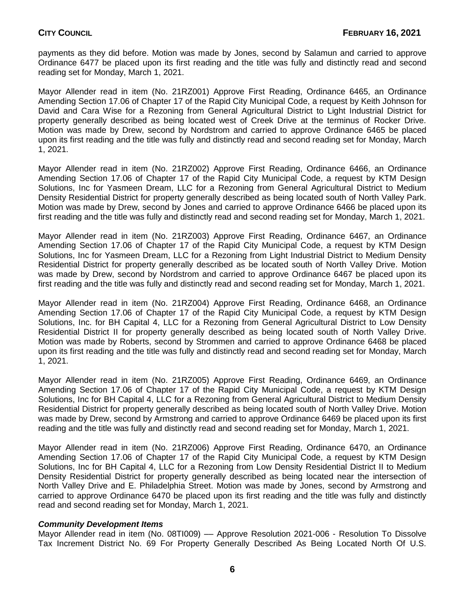payments as they did before. Motion was made by Jones, second by Salamun and carried to approve Ordinance 6477 be placed upon its first reading and the title was fully and distinctly read and second reading set for Monday, March 1, 2021.

Mayor Allender read in item (No. 21RZ001) Approve First Reading, Ordinance 6465, an Ordinance Amending Section 17.06 of Chapter 17 of the Rapid City Municipal Code, a request by Keith Johnson for David and Cara Wise for a Rezoning from General Agricultural District to Light Industrial District for property generally described as being located west of Creek Drive at the terminus of Rocker Drive. Motion was made by Drew, second by Nordstrom and carried to approve Ordinance 6465 be placed upon its first reading and the title was fully and distinctly read and second reading set for Monday, March 1, 2021.

Mayor Allender read in item (No. 21RZ002) Approve First Reading, Ordinance 6466, an Ordinance Amending Section 17.06 of Chapter 17 of the Rapid City Municipal Code, a request by KTM Design Solutions, Inc for Yasmeen Dream, LLC for a Rezoning from General Agricultural District to Medium Density Residential District for property generally described as being located south of North Valley Park. Motion was made by Drew, second by Jones and carried to approve Ordinance 6466 be placed upon its first reading and the title was fully and distinctly read and second reading set for Monday, March 1, 2021.

Mayor Allender read in item (No. 21RZ003) Approve First Reading, Ordinance 6467, an Ordinance Amending Section 17.06 of Chapter 17 of the Rapid City Municipal Code, a request by KTM Design Solutions, Inc for Yasmeen Dream, LLC for a Rezoning from Light Industrial District to Medium Density Residential District for property generally described as be located south of North Valley Drive. Motion was made by Drew, second by Nordstrom and carried to approve Ordinance 6467 be placed upon its first reading and the title was fully and distinctly read and second reading set for Monday, March 1, 2021.

Mayor Allender read in item (No. 21RZ004) Approve First Reading, Ordinance 6468, an Ordinance Amending Section 17.06 of Chapter 17 of the Rapid City Municipal Code, a request by KTM Design Solutions, Inc. for BH Capital 4, LLC for a Rezoning from General Agricultural District to Low Density Residential District II for property generally described as being located south of North Valley Drive. Motion was made by Roberts, second by Strommen and carried to approve Ordinance 6468 be placed upon its first reading and the title was fully and distinctly read and second reading set for Monday, March 1, 2021.

Mayor Allender read in item (No. 21RZ005) Approve First Reading, Ordinance 6469, an Ordinance Amending Section 17.06 of Chapter 17 of the Rapid City Municipal Code, a request by KTM Design Solutions, Inc for BH Capital 4, LLC for a Rezoning from General Agricultural District to Medium Density Residential District for property generally described as being located south of North Valley Drive. Motion was made by Drew, second by Armstrong and carried to approve Ordinance 6469 be placed upon its first reading and the title was fully and distinctly read and second reading set for Monday, March 1, 2021.

Mayor Allender read in item (No. 21RZ006) Approve First Reading, Ordinance 6470, an Ordinance Amending Section 17.06 of Chapter 17 of the Rapid City Municipal Code, a request by KTM Design Solutions, Inc for BH Capital 4, LLC for a Rezoning from Low Density Residential District II to Medium Density Residential District for property generally described as being located near the intersection of North Valley Drive and E. Philadelphia Street. Motion was made by Jones, second by Armstrong and carried to approve Ordinance 6470 be placed upon its first reading and the title was fully and distinctly read and second reading set for Monday, March 1, 2021.

### *Community Development Items*

Mayor Allender read in item (No. 08TI009) –– Approve Resolution 2021-006 - Resolution To Dissolve Tax Increment District No. 69 For Property Generally Described As Being Located North Of U.S.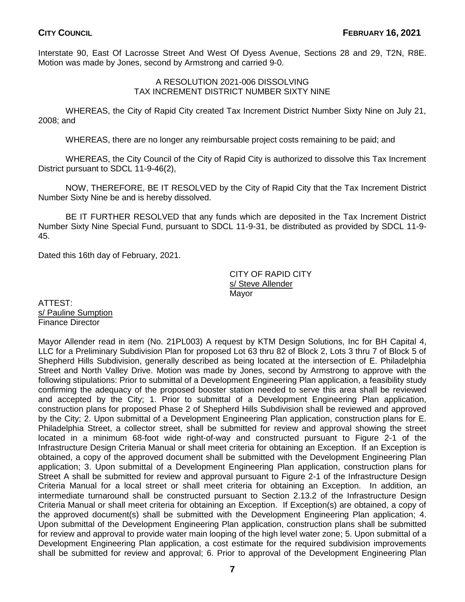Interstate 90, East Of Lacrosse Street And West Of Dyess Avenue, Sections 28 and 29, T2N, R8E. Motion was made by Jones, second by Armstrong and carried 9-0.

## A RESOLUTION 2021-006 DISSOLVING TAX INCREMENT DISTRICT NUMBER SIXTY NINE

WHEREAS, the City of Rapid City created Tax Increment District Number Sixty Nine on July 21, 2008; and

WHEREAS, there are no longer any reimbursable project costs remaining to be paid; and

WHEREAS, the City Council of the City of Rapid City is authorized to dissolve this Tax Increment District pursuant to SDCL 11-9-46(2),

NOW, THEREFORE, BE IT RESOLVED by the City of Rapid City that the Tax Increment District Number Sixty Nine be and is hereby dissolved.

BE IT FURTHER RESOLVED that any funds which are deposited in the Tax Increment District Number Sixty Nine Special Fund, pursuant to SDCL 11-9-31, be distributed as provided by SDCL 11-9- 45.

Dated this 16th day of February, 2021.

CITY OF RAPID CITY s/ Steve Allender Mayor

ATTEST: s/ Pauline Sumption Finance Director

Mayor Allender read in item (No. 21PL003) A request by KTM Design Solutions, Inc for BH Capital 4, LLC for a Preliminary Subdivision Plan for proposed Lot 63 thru 82 of Block 2, Lots 3 thru 7 of Block 5 of Shepherd Hills Subdivision, generally described as being located at the intersection of E. Philadelphia Street and North Valley Drive. Motion was made by Jones, second by Armstrong to approve with the following stipulations: Prior to submittal of a Development Engineering Plan application, a feasibility study confirming the adequacy of the proposed booster station needed to serve this area shall be reviewed and accepted by the City; 1. Prior to submittal of a Development Engineering Plan application, construction plans for proposed Phase 2 of Shepherd Hills Subdivision shall be reviewed and approved by the City; 2. Upon submittal of a Development Engineering Plan application, construction plans for E. Philadelphia Street, a collector street, shall be submitted for review and approval showing the street located in a minimum 68-foot wide right-of-way and constructed pursuant to Figure 2-1 of the Infrastructure Design Criteria Manual or shall meet criteria for obtaining an Exception. If an Exception is obtained, a copy of the approved document shall be submitted with the Development Engineering Plan application; 3. Upon submittal of a Development Engineering Plan application, construction plans for Street A shall be submitted for review and approval pursuant to Figure 2-1 of the Infrastructure Design Criteria Manual for a local street or shall meet criteria for obtaining an Exception. In addition, an intermediate turnaround shall be constructed pursuant to Section 2.13.2 of the Infrastructure Design Criteria Manual or shall meet criteria for obtaining an Exception. If Exception(s) are obtained, a copy of the approved document(s) shall be submitted with the Development Engineering Plan application; 4. Upon submittal of the Development Engineering Plan application, construction plans shall be submitted for review and approval to provide water main looping of the high level water zone; 5. Upon submittal of a Development Engineering Plan application, a cost estimate for the required subdivision improvements shall be submitted for review and approval; 6. Prior to approval of the Development Engineering Plan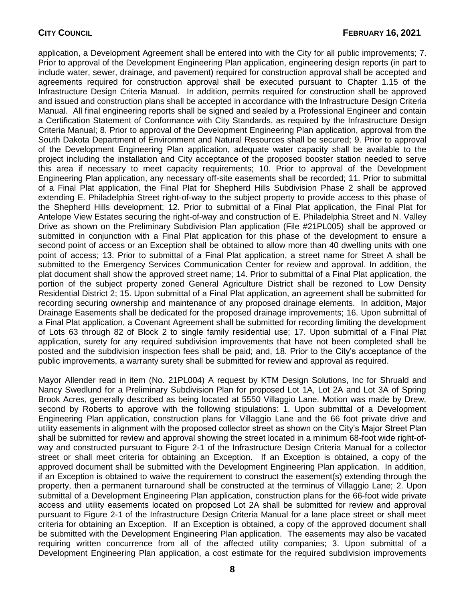application, a Development Agreement shall be entered into with the City for all public improvements; 7. Prior to approval of the Development Engineering Plan application, engineering design reports (in part to include water, sewer, drainage, and pavement) required for construction approval shall be accepted and agreements required for construction approval shall be executed pursuant to Chapter 1.15 of the Infrastructure Design Criteria Manual. In addition, permits required for construction shall be approved and issued and construction plans shall be accepted in accordance with the Infrastructure Design Criteria Manual. All final engineering reports shall be signed and sealed by a Professional Engineer and contain a Certification Statement of Conformance with City Standards, as required by the Infrastructure Design Criteria Manual; 8. Prior to approval of the Development Engineering Plan application, approval from the South Dakota Department of Environment and Natural Resources shall be secured; 9. Prior to approval of the Development Engineering Plan application, adequate water capacity shall be available to the project including the installation and City acceptance of the proposed booster station needed to serve this area if necessary to meet capacity requirements; 10. Prior to approval of the Development Engineering Plan application, any necessary off-site easements shall be recorded; 11. Prior to submittal of a Final Plat application, the Final Plat for Shepherd Hills Subdivision Phase 2 shall be approved extending E. Philadelphia Street right-of-way to the subject property to provide access to this phase of the Shepherd Hills development; 12. Prior to submittal of a Final Plat application, the Final Plat for Antelope View Estates securing the right-of-way and construction of E. Philadelphia Street and N. Valley Drive as shown on the Preliminary Subdivision Plan application (File #21PL005) shall be approved or submitted in conjunction with a Final Plat application for this phase of the development to ensure a second point of access or an Exception shall be obtained to allow more than 40 dwelling units with one point of access; 13. Prior to submittal of a Final Plat application, a street name for Street A shall be submitted to the Emergency Services Communication Center for review and approval. In addition, the plat document shall show the approved street name; 14. Prior to submittal of a Final Plat application, the portion of the subject property zoned General Agriculture District shall be rezoned to Low Density Residential District 2; 15. Upon submittal of a Final Plat application, an agreement shall be submitted for recording securing ownership and maintenance of any proposed drainage elements. In addition, Major Drainage Easements shall be dedicated for the proposed drainage improvements; 16. Upon submittal of a Final Plat application, a Covenant Agreement shall be submitted for recording limiting the development of Lots 63 through 82 of Block 2 to single family residential use; 17. Upon submittal of a Final Plat application, surety for any required subdivision improvements that have not been completed shall be posted and the subdivision inspection fees shall be paid; and, 18. Prior to the City's acceptance of the public improvements, a warranty surety shall be submitted for review and approval as required.

Mayor Allender read in item (No. 21PL004) A request by KTM Design Solutions, Inc for Shruald and Nancy Swedlund for a Preliminary Subdivision Plan for proposed Lot 1A, Lot 2A and Lot 3A of Spring Brook Acres, generally described as being located at 5550 Villaggio Lane. Motion was made by Drew, second by Roberts to approve with the following stipulations: 1. Upon submittal of a Development Engineering Plan application, construction plans for Villaggio Lane and the 66 foot private drive and utility easements in alignment with the proposed collector street as shown on the City's Major Street Plan shall be submitted for review and approval showing the street located in a minimum 68-foot wide right-ofway and constructed pursuant to Figure 2-1 of the Infrastructure Design Criteria Manual for a collector street or shall meet criteria for obtaining an Exception. If an Exception is obtained, a copy of the approved document shall be submitted with the Development Engineering Plan application. In addition, if an Exception is obtained to waive the requirement to construct the easement(s) extending through the property, then a permanent turnaround shall be constructed at the terminus of Villaggio Lane; 2. Upon submittal of a Development Engineering Plan application, construction plans for the 66-foot wide private access and utility easements located on proposed Lot 2A shall be submitted for review and approval pursuant to Figure 2-1 of the Infrastructure Design Criteria Manual for a lane place street or shall meet criteria for obtaining an Exception. If an Exception is obtained, a copy of the approved document shall be submitted with the Development Engineering Plan application. The easements may also be vacated requiring written concurrence from all of the affected utility companies; 3. Upon submittal of a Development Engineering Plan application, a cost estimate for the required subdivision improvements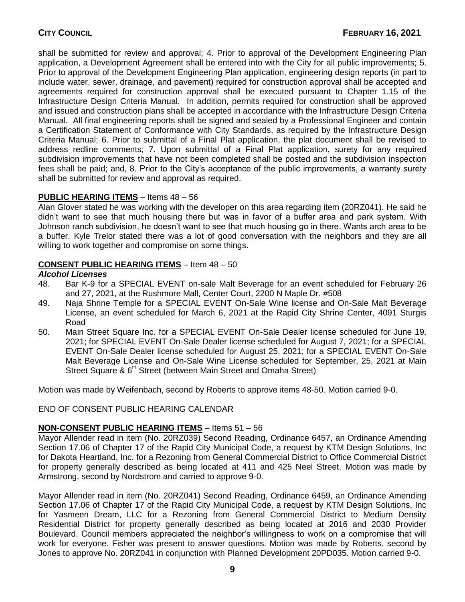shall be submitted for review and approval; 4. Prior to approval of the Development Engineering Plan application, a Development Agreement shall be entered into with the City for all public improvements; 5. Prior to approval of the Development Engineering Plan application, engineering design reports (in part to include water, sewer, drainage, and pavement) required for construction approval shall be accepted and agreements required for construction approval shall be executed pursuant to Chapter 1.15 of the Infrastructure Design Criteria Manual. In addition, permits required for construction shall be approved and issued and construction plans shall be accepted in accordance with the Infrastructure Design Criteria Manual. All final engineering reports shall be signed and sealed by a Professional Engineer and contain a Certification Statement of Conformance with City Standards, as required by the Infrastructure Design Criteria Manual; 6. Prior to submittal of a Final Plat application, the plat document shall be revised to address redline comments; 7. Upon submittal of a Final Plat application, surety for any required subdivision improvements that have not been completed shall be posted and the subdivision inspection fees shall be paid; and, 8. Prior to the City's acceptance of the public improvements, a warranty surety shall be submitted for review and approval as required.

# **PUBLIC HEARING ITEMS** – Items 48 – 56

Alan Glover stated he was working with the developer on this area regarding item (20RZ041). He said he didn't want to see that much housing there but was in favor of a buffer area and park system. With Johnson ranch subdivision, he doesn't want to see that much housing go in there. Wants arch area to be a buffer. Kyle Trelor stated there was a lot of good conversation with the neighbors and they are all willing to work together and compromise on some things.

# **CONSENT PUBLIC HEARING ITEMS** – Item 48 – 50

# *Alcohol Licenses*

- 48. Bar K-9 for a SPECIAL EVENT on-sale Malt Beverage for an event scheduled for February 26 and 27, 2021, at the Rushmore Mall, Center Court, 2200 N Maple Dr. #508
- 49. Naja Shrine Temple for a SPECIAL EVENT On-Sale Wine license and On-Sale Malt Beverage License, an event scheduled for March 6, 2021 at the Rapid City Shrine Center, 4091 Sturgis Road
- 50. Main Street Square Inc. for a SPECIAL EVENT On-Sale Dealer license scheduled for June 19, 2021; for SPECIAL EVENT On-Sale Dealer license scheduled for August 7, 2021; for a SPECIAL EVENT On-Sale Dealer license scheduled for August 25, 2021; for a SPECIAL EVENT On-Sale Malt Beverage License and On-Sale Wine License scheduled for September, 25, 2021 at Main Street Square & 6<sup>th</sup> Street (between Main Street and Omaha Street)

Motion was made by Weifenbach, second by Roberts to approve items 48-50. Motion carried 9-0.

# END OF CONSENT PUBLIC HEARING CALENDAR

# **NON-CONSENT PUBLIC HEARING ITEMS** – Items 51 – 56

Mayor Allender read in item (No. 20RZ039) Second Reading, Ordinance 6457, an Ordinance Amending Section 17.06 of Chapter 17 of the Rapid City Municipal Code, a request by KTM Design Solutions, Inc for Dakota Heartland, Inc. for a Rezoning from General Commercial District to Office Commercial District for property generally described as being located at 411 and 425 Neel Street. Motion was made by Armstrong, second by Nordstrom and carried to approve 9-0.

Mayor Allender read in item (No. 20RZ041) Second Reading, Ordinance 6459, an Ordinance Amending Section 17.06 of Chapter 17 of the Rapid City Municipal Code, a request by KTM Design Solutions, Inc for Yasmeen Dream, LLC for a Rezoning from General Commercial District to Medium Density Residential District for property generally described as being located at 2016 and 2030 Provider Boulevard. Council members appreciated the neighbor's willingness to work on a compromise that will work for everyone. Fisher was present to answer questions. Motion was made by Roberts, second by Jones to approve No. 20RZ041 in conjunction with Planned Development 20PD035. Motion carried 9-0.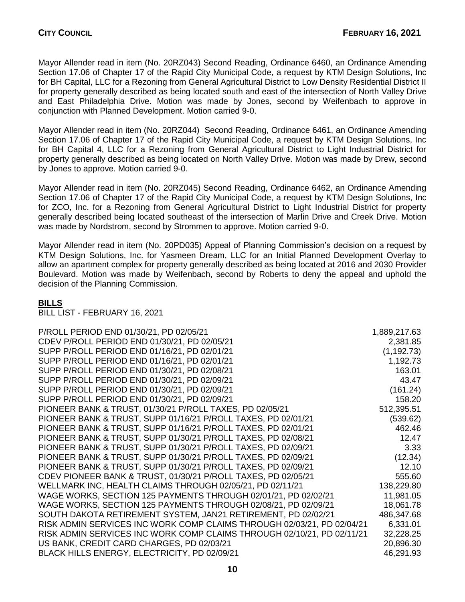Mayor Allender read in item (No. 20RZ043) Second Reading, Ordinance 6460, an Ordinance Amending Section 17.06 of Chapter 17 of the Rapid City Municipal Code, a request by KTM Design Solutions, Inc for BH Capital, LLC for a Rezoning from General Agricultural District to Low Density Residential District II for property generally described as being located south and east of the intersection of North Valley Drive and East Philadelphia Drive. Motion was made by Jones, second by Weifenbach to approve in conjunction with Planned Development. Motion carried 9-0.

Mayor Allender read in item (No. 20RZ044) Second Reading, Ordinance 6461, an Ordinance Amending Section 17.06 of Chapter 17 of the Rapid City Municipal Code, a request by KTM Design Solutions, Inc for BH Capital 4, LLC for a Rezoning from General Agricultural District to Light Industrial District for property generally described as being located on North Valley Drive. Motion was made by Drew, second by Jones to approve. Motion carried 9-0.

Mayor Allender read in item (No. 20RZ045) Second Reading, Ordinance 6462, an Ordinance Amending Section 17.06 of Chapter 17 of the Rapid City Municipal Code, a request by KTM Design Solutions, Inc for ZCO, Inc. for a Rezoning from General Agricultural District to Light Industrial District for property generally described being located southeast of the intersection of Marlin Drive and Creek Drive. Motion was made by Nordstrom, second by Strommen to approve. Motion carried 9-0.

Mayor Allender read in item (No. 20PD035) Appeal of Planning Commission's decision on a request by KTM Design Solutions, Inc. for Yasmeen Dream, LLC for an Initial Planned Development Overlay to allow an apartment complex for property generally described as being located at 2016 and 2030 Provider Boulevard. Motion was made by Weifenbach, second by Roberts to deny the appeal and uphold the decision of the Planning Commission.

# **BILLS**

BILL LIST - FEBRUARY 16, 2021

| P/ROLL PERIOD END 01/30/21, PD 02/05/21                                | 1,889,217.63 |
|------------------------------------------------------------------------|--------------|
| CDEV P/ROLL PERIOD END 01/30/21, PD 02/05/21                           |              |
|                                                                        | 2,381.85     |
| SUPP P/ROLL PERIOD END 01/16/21, PD 02/01/21                           | (1, 192.73)  |
| SUPP P/ROLL PERIOD END 01/16/21, PD 02/01/21                           | 1,192.73     |
| SUPP P/ROLL PERIOD END 01/30/21, PD 02/08/21                           | 163.01       |
| SUPP P/ROLL PERIOD END 01/30/21, PD 02/09/21                           | 43.47        |
| SUPP P/ROLL PERIOD END 01/30/21, PD 02/09/21                           | (161.24)     |
| SUPP P/ROLL PERIOD END 01/30/21, PD 02/09/21                           | 158.20       |
| PIONEER BANK & TRUST, 01/30/21 P/ROLL TAXES, PD 02/05/21               | 512,395.51   |
| PIONEER BANK & TRUST, SUPP 01/16/21 P/ROLL TAXES, PD 02/01/21          | (539.62)     |
| PIONEER BANK & TRUST, SUPP 01/16/21 P/ROLL TAXES, PD 02/01/21          | 462.46       |
| PIONEER BANK & TRUST, SUPP 01/30/21 P/ROLL TAXES, PD 02/08/21          | 12.47        |
| PIONEER BANK & TRUST, SUPP 01/30/21 P/ROLL TAXES, PD 02/09/21          | 3.33         |
| PIONEER BANK & TRUST, SUPP 01/30/21 P/ROLL TAXES, PD 02/09/21          | (12.34)      |
| PIONEER BANK & TRUST, SUPP 01/30/21 P/ROLL TAXES, PD 02/09/21          | 12.10        |
| CDEV PIONEER BANK & TRUST, 01/30/21 P/ROLL TAXES, PD 02/05/21          | 555.60       |
| WELLMARK INC, HEALTH CLAIMS THROUGH 02/05/21, PD 02/11/21              | 138,229.80   |
| WAGE WORKS, SECTION 125 PAYMENTS THROUGH 02/01/21, PD 02/02/21         | 11,981.05    |
| WAGE WORKS, SECTION 125 PAYMENTS THROUGH 02/08/21, PD 02/09/21         | 18,061.78    |
| SOUTH DAKOTA RETIREMENT SYSTEM, JAN21 RETIREMENT, PD 02/02/21          | 486,347.68   |
| RISK ADMIN SERVICES INC WORK COMP CLAIMS THROUGH 02/03/21, PD 02/04/21 | 6,331.01     |
| RISK ADMIN SERVICES INC WORK COMP CLAIMS THROUGH 02/10/21, PD 02/11/21 | 32,228.25    |
| US BANK, CREDIT CARD CHARGES, PD 02/03/21                              | 20,896.30    |
| BLACK HILLS ENERGY, ELECTRICITY, PD 02/09/21                           | 46,291.93    |